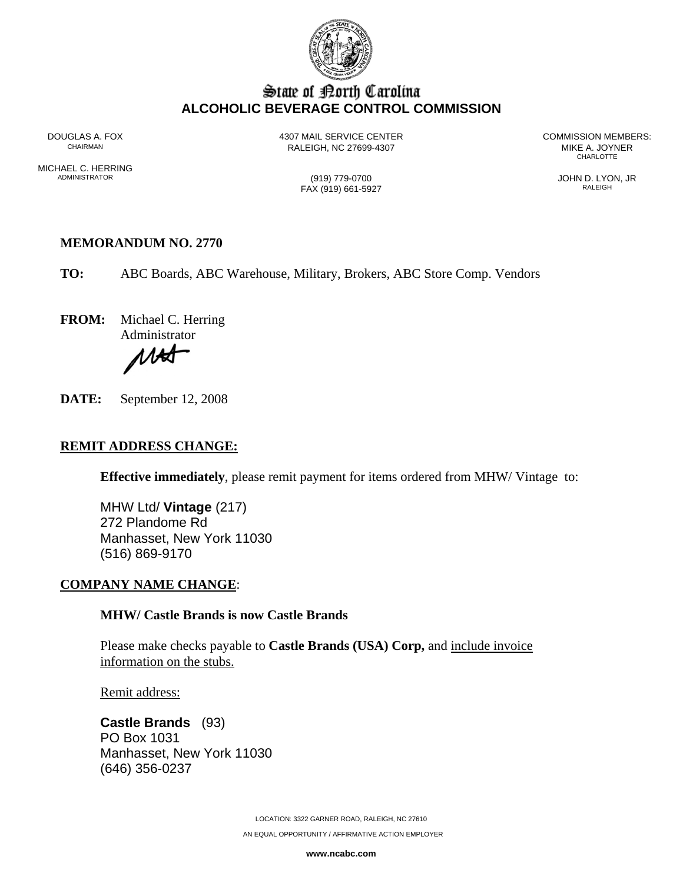

## State of Borth Carolina **ALCOHOLIC BEVERAGE CONTROL COMMISSION**

RALEIGH, NC 27699-4307 MIKE A. JOYNER

DOUGLAS A. FOX 4307 MAIL SERVICE CENTER COMMISSION MEMBERS: **CHARLOTTE** 

MICHAEL C. HERRING<br>ADMINISTRATOR

FAX (919) 661-5927

ADMINISTRATOR (919) 779-0700 JOHN D. LYON, JR

#### **MEMORANDUM NO. 2770**

**TO:** ABC Boards, ABC Warehouse, Military, Brokers, ABC Store Comp. Vendors

**FROM:** Michael C. Herring Administrator

**AK** 

**DATE:** September 12, 2008

#### **REMIT ADDRESS CHANGE:**

**Effective immediately**, please remit payment for items ordered from MHW/ Vintage to:

MHW Ltd/ **Vintage** (217) 272 Plandome Rd Manhasset, New York 11030 (516) 869-9170

#### **COMPANY NAME CHANGE**:

#### **MHW/ Castle Brands is now Castle Brands**

Please make checks payable to **Castle Brands (USA) Corp,** and include invoice information on the stubs.

Remit address:

**Castle Brands** (93) PO Box 1031 Manhasset, New York 11030 (646) 356-0237

LOCATION: 3322 GARNER ROAD, RALEIGH, NC 27610

AN EQUAL OPPORTUNITY / AFFIRMATIVE ACTION EMPLOYER

**www.ncabc.com**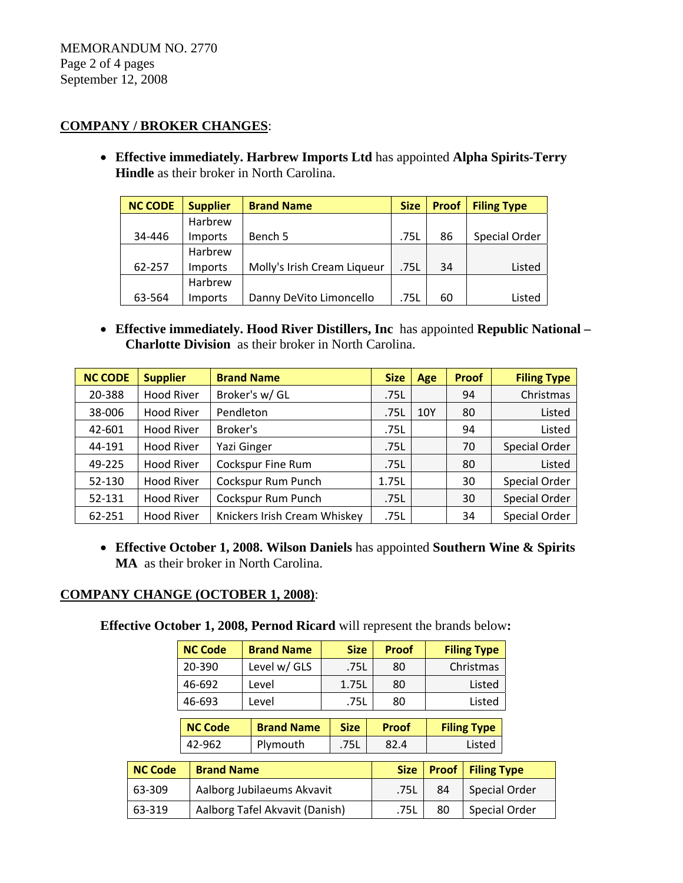### **COMPANY / BROKER CHANGES**:

• **Effective immediately. Harbrew Imports Ltd** has appointed **Alpha Spirits-Terry Hindle** as their broker in North Carolina.

| <b>NC CODE</b> | <b>Supplier</b> | <b>Brand Name</b>           | <b>Size</b> | <b>Proof</b> | <b>Filing Type</b> |
|----------------|-----------------|-----------------------------|-------------|--------------|--------------------|
|                | Harbrew         |                             |             |              |                    |
| 34-446         | <b>Imports</b>  | Bench 5                     | .75L        | 86           | Special Order      |
|                | Harbrew         |                             |             |              |                    |
| 62-257         | Imports         | Molly's Irish Cream Liqueur | .75L        | 34           | Listed             |
|                | Harbrew         |                             |             |              |                    |
| 63-564         | Imports         | Danny DeVito Limoncello     | .75L        | 60           | Listed             |

• **Effective immediately. Hood River Distillers, Inc** has appointed **Republic National – Charlotte Division** as their broker in North Carolina.

| <b>NC CODE</b> | <b>Supplier</b>   | <b>Brand Name</b>            | <b>Size</b> | Age | <b>Proof</b> | <b>Filing Type</b> |
|----------------|-------------------|------------------------------|-------------|-----|--------------|--------------------|
| 20-388         | <b>Hood River</b> | Broker's w/ GL               | .75L        |     | 94           | Christmas          |
| 38-006         | <b>Hood River</b> | Pendleton                    | 10Y<br>.75L |     | 80           | Listed             |
| 42-601         | <b>Hood River</b> | Broker's                     | .75L        |     | 94           | Listed             |
| 44-191         | <b>Hood River</b> | Yazi Ginger                  | .75L        |     | 70           | Special Order      |
| 49-225         | <b>Hood River</b> | <b>Cockspur Fine Rum</b>     | .75L        |     | 80           | Listed             |
| 52-130         | <b>Hood River</b> | Cockspur Rum Punch           | 1.75L       |     | 30           | Special Order      |
| 52-131         | <b>Hood River</b> | Cockspur Rum Punch           | .75L        |     | 30           | Special Order      |
| 62-251         | <b>Hood River</b> | Knickers Irish Cream Whiskey | .75L        |     | 34           | Special Order      |

• **Effective October 1, 2008. Wilson Daniels** has appointed **Southern Wine & Spirits MA** as their broker in North Carolina.

### **COMPANY CHANGE (OCTOBER 1, 2008)**:

**Effective October 1, 2008, Pernod Ricard** will represent the brands below**:**

|                | <b>NC Code</b>    | <b>Brand Name</b>              | <b>Size</b> | <b>Proof</b> |                    | <b>Filing Type</b> |  |
|----------------|-------------------|--------------------------------|-------------|--------------|--------------------|--------------------|--|
|                | 20-390            | Level w/ GLS                   | .75L        | 80           |                    | Christmas          |  |
|                | 46-692            | Level                          | 1.75L       | 80           |                    | Listed             |  |
|                | 46-693            | Level                          | .75L        | 80           |                    | Listed             |  |
|                | <b>NC Code</b>    | <b>Brand Name</b>              | <b>Size</b> | <b>Proof</b> | <b>Filing Type</b> |                    |  |
|                |                   |                                |             |              |                    |                    |  |
|                | 42-962            | Plymouth                       | .75L        | 82.4         |                    | Listed             |  |
|                |                   |                                |             |              |                    |                    |  |
| <b>NC Code</b> | <b>Brand Name</b> |                                |             | <b>Size</b>  | <b>Proof</b>       | <b>Filing Type</b> |  |
| 63-309         |                   | Aalborg Jubilaeums Akvavit     |             | .75L         | 84                 | Special Order      |  |
| 63-319         |                   | Aalborg Tafel Akvavit (Danish) |             | .75L         | 80                 | Special Order      |  |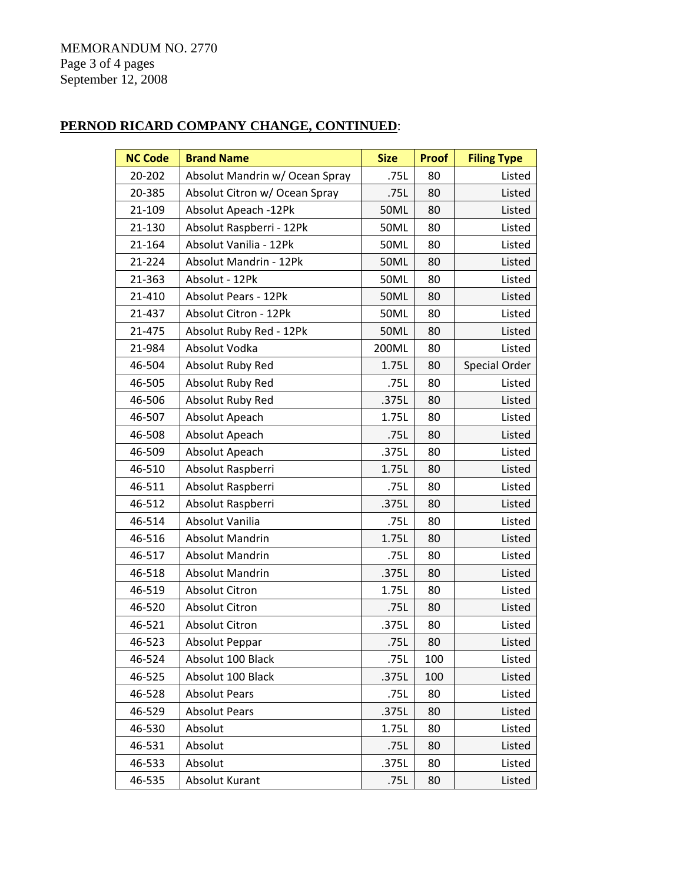MEMORANDUM NO. 2770 Page 3 of 4 pages September 12, 2008

# **PERNOD RICARD COMPANY CHANGE, CONTINUED**:

| <b>NC Code</b> | <b>Brand Name</b>              | <b>Size</b> | <b>Proof</b> | <b>Filing Type</b> |
|----------------|--------------------------------|-------------|--------------|--------------------|
| 20-202         | Absolut Mandrin w/ Ocean Spray | .75L        | 80           | Listed             |
| 20-385         | Absolut Citron w/ Ocean Spray  | .75L        | 80           | Listed             |
| 21-109         | Absolut Apeach -12Pk           | 50ML        | 80           | Listed             |
| 21-130         | Absolut Raspberri - 12Pk       | 50ML        | 80           | Listed             |
| 21-164         | Absolut Vanilia - 12Pk         | 50ML        | 80           | Listed             |
| 21-224         | Absolut Mandrin - 12Pk         | 50ML        | 80           | Listed             |
| 21-363         | Absolut - 12Pk                 | 50ML        | 80           | Listed             |
| 21-410         | <b>Absolut Pears - 12Pk</b>    | <b>50ML</b> | 80           | Listed             |
| 21-437         | Absolut Citron - 12Pk          | 50ML        | 80           | Listed             |
| 21-475         | Absolut Ruby Red - 12Pk        | 50ML        | 80           | Listed             |
| 21-984         | Absolut Vodka                  | 200ML       | 80           | Listed             |
| 46-504         | Absolut Ruby Red               | 1.75L       | 80           | Special Order      |
| 46-505         | Absolut Ruby Red               | .75L        | 80           | Listed             |
| 46-506         | Absolut Ruby Red               | .375L       | 80           | Listed             |
| 46-507         | Absolut Apeach                 | 1.75L       | 80           | Listed             |
| 46-508         | Absolut Apeach                 | .75L        | 80           | Listed             |
| 46-509         | Absolut Apeach                 | .375L       | 80           | Listed             |
| 46-510         | Absolut Raspberri              | 1.75L       | 80           | Listed             |
| 46-511         | Absolut Raspberri              | .75L        | 80           | Listed             |
| 46-512         | Absolut Raspberri              | .375L       | 80           | Listed             |
| 46-514         | Absolut Vanilia                | .75L        | 80           | Listed             |
| 46-516         | Absolut Mandrin                | 1.75L       | 80           | Listed             |
| 46-517         | <b>Absolut Mandrin</b>         | .75L        | 80           | Listed             |
| 46-518         | <b>Absolut Mandrin</b>         | .375L       | 80           | Listed             |
| 46-519         | <b>Absolut Citron</b>          | 1.75L       | 80           | Listed             |
| 46-520         | <b>Absolut Citron</b>          | .75L        | 80           | Listed             |
| 46-521         | <b>Absolut Citron</b>          | .375L       | 80           | Listed             |
| 46-523         | Absolut Peppar                 | .75L        | 80           | Listed             |
| 46-524         | Absolut 100 Black              | .75L        | 100          | Listed             |
| 46-525         | Absolut 100 Black              | .375L       | 100          | Listed             |
| 46-528         | <b>Absolut Pears</b>           | .75L        | 80           | Listed             |
| 46-529         | <b>Absolut Pears</b>           | .375L       | 80           | Listed             |
| 46-530         | Absolut                        | 1.75L       | 80           | Listed             |
| 46-531         | Absolut                        | .75L        | 80           | Listed             |
| 46-533         | Absolut                        | .375L       | 80           | Listed             |
| 46-535         | Absolut Kurant                 | .75L        | 80           | Listed             |